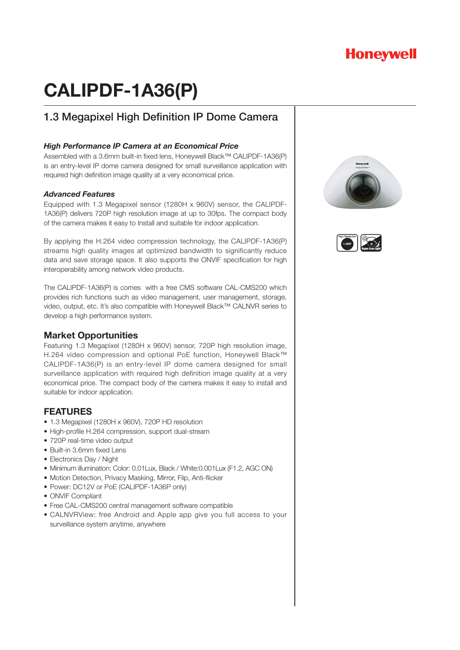## **Honeywell**

# **CALIPDF-1A36(P)**

## 1.3 Megapixel High Definition IP Dome Camera

#### *High Performance IP Camera at an Economical Price*

Assembled with a 3.6mm built-in fixed lens, Honeywell Black™ CALIPDF-1A36(P) is an entry-level IP dome camera designed for small surveillance application with required high definition image quality at a very economical price.

#### *Advanced Features*

Equipped with 1.3 Megapixel sensor (1280H x 960V) sensor, the CALIPDF-1A36(P) delivers 720P high resolution image at up to 30fps. The compact body of the camera makes it easy to Install and suitable for indoor application.

By applying the H.264 video compression technology, the CALIPDF-1A36(P) streams high quality images at optimized bandwidth to significantly reduce data and save storage space. It also supports the ONVIF specification for high interoperability among network video products.

The CALIPDF-1A36(P) is comes with a free CMS software CAL-CMS200 which provides rich functions such as video management, user management, storage, video, output, etc. It's also compatible with Honeywell Black™ CALNVR series to develop a high performance system.

#### **Market Opportunities**

Featuring 1.3 Megapixel (1280H x 960V) sensor, 720P high resolution image, H.264 video compression and optional PoE function, Honeywell Black™ CALIPDF-1A36(P) is an entry-level IP dome camera designed for small surveillance application with required high definition image quality at a very economical price. The compact body of the camera makes it easy to install and suitable for indoor application.

### **FEATURES**

- 1.3 Megapixel (1280H x 960V), 720P HD resolution
- High-profile H.264 compression, support dual-stream
- 720P real-time video output
- Built-in 3.6mm fixed Lens
- Electronics Day / Night
- Minimum illumination: Color: 0.01Lux, Black / White:0.001Lux (F1.2, AGC ON)
- Motion Detection, Privacy Masking, Mirror, Flip, Anti-flicker
- Power: DC12V or PoE (CALIPDF-1A36P only)
- ONVIF Compliant
- Free CAL-CMS200 central management software compatible
- CALNVRView: free Android and Apple app give you full access to your surveillance system anytime, anywhere



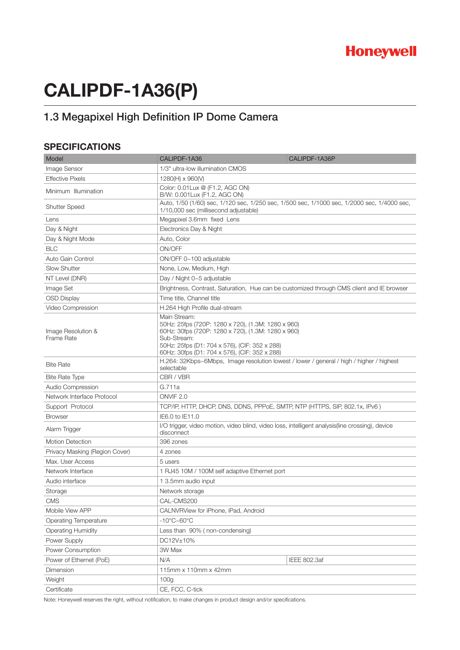# **CALIPDF-1A36(P)**

## 1.3 Megapixel High Definition IP Dome Camera

### **SPECIFICATIONS**

| Model                            | CALIPDF-1A36                                                                                                                                                                                                                              | CALIPDF-1A36P       |
|----------------------------------|-------------------------------------------------------------------------------------------------------------------------------------------------------------------------------------------------------------------------------------------|---------------------|
| Image Sensor                     | 1/3" ultra-low illumination CMOS                                                                                                                                                                                                          |                     |
| <b>Effective Pixels</b>          | 1280(H) x 960(V)                                                                                                                                                                                                                          |                     |
| Minimum Illumination             | Color: 0.01Lux @ (F1.2, AGC ON)<br>B/W: 0.001Lux (F1.2, AGC ON)                                                                                                                                                                           |                     |
| <b>Shutter Speed</b>             | Auto, 1/50 (1/60) sec, 1/120 sec, 1/250 sec, 1/500 sec, 1/1000 sec, 1/2000 sec, 1/4000 sec,<br>1/10,000 sec (millisecond adjustable)                                                                                                      |                     |
| Lens                             | Megapixel 3.6mm fixed Lens                                                                                                                                                                                                                |                     |
| Day & Night                      | Electronics Day & Night                                                                                                                                                                                                                   |                     |
| Day & Night Mode                 | Auto, Color                                                                                                                                                                                                                               |                     |
| <b>BLC</b>                       | ON/OFF                                                                                                                                                                                                                                    |                     |
| Auto Gain Control                | ON/OFF 0~100 adjustable                                                                                                                                                                                                                   |                     |
| <b>Slow Shutter</b>              | None, Low, Medium, High                                                                                                                                                                                                                   |                     |
| NT Level (DNR)                   | Day / Night 0~5 adjustable                                                                                                                                                                                                                |                     |
| Image Set                        | Brightness, Contrast, Saturation, Hue can be customized through CMS client and IE browser                                                                                                                                                 |                     |
| <b>OSD Display</b>               | Time title, Channel title                                                                                                                                                                                                                 |                     |
| Video Compression                | H.264 High Profile dual-stream                                                                                                                                                                                                            |                     |
| Image Resolution &<br>Frame Rate | Main Stream:<br>50Hz: 25fps (720P: 1280 x 720), (1.3M: 1280 x 960)<br>60Hz: 30fps (720P: 1280 x 720), (1.3M: 1280 x 960)<br>Sub-Stream:<br>50Hz: 25fps (D1: 704 x 576), (CIF: 352 x 288)<br>60Hz: 30fps (D1: 704 x 576), (CIF: 352 x 288) |                     |
| <b>Bite Rate</b>                 | H.264: 32Kbps~6Mbps, Image resolution lowest / lower / general / high / higher / highest<br>selectable                                                                                                                                    |                     |
| <b>Bite Rate Type</b>            | CBR / VBR                                                                                                                                                                                                                                 |                     |
| Audio Compression                | G.711a                                                                                                                                                                                                                                    |                     |
| Network Interface Protocol       | ONVIF <sub>2.0</sub>                                                                                                                                                                                                                      |                     |
| Support Protocol                 | TCP/IP, HTTP, DHCP, DNS, DDNS, PPPoE, SMTP, NTP (HTTPS, SIP, 802.1x, IPv6)                                                                                                                                                                |                     |
| <b>Browser</b>                   | IE6.0 to IE11.0                                                                                                                                                                                                                           |                     |
| Alarm Trigger                    | I/O trigger, video motion, video blind, video loss, intelligent analysis(line crossing), device<br>disconnect                                                                                                                             |                     |
| <b>Motion Detection</b>          | 396 zones                                                                                                                                                                                                                                 |                     |
| Privacy Masking (Region Cover)   | 4 zones                                                                                                                                                                                                                                   |                     |
| Max. User Access                 | 5 users                                                                                                                                                                                                                                   |                     |
| Network Interface                | 1 RJ45 10M / 100M self adaptive Ethernet port                                                                                                                                                                                             |                     |
| Audio interface                  | 1 3.5mm audio input                                                                                                                                                                                                                       |                     |
| Storage                          | Network storage                                                                                                                                                                                                                           |                     |
| CMS                              | CAL-CMS200                                                                                                                                                                                                                                |                     |
| Mobile View APP                  | CALNVRView for iPhone, iPad, Android                                                                                                                                                                                                      |                     |
| <b>Operating Temperature</b>     | $-10^{\circ}$ C $\sim$ 60 $^{\circ}$ C                                                                                                                                                                                                    |                     |
| <b>Operating Humidity</b>        | Less than 90% (non-condensing)                                                                                                                                                                                                            |                     |
| Power Supply                     | DC12V±10%                                                                                                                                                                                                                                 |                     |
| Power Consumption                | 3W Max                                                                                                                                                                                                                                    |                     |
| Power of Ethernet (PoE)          | N/A                                                                                                                                                                                                                                       | <b>IEEE 802.3af</b> |
| Dimension                        | 115mm x 110mm x 42mm                                                                                                                                                                                                                      |                     |
| Weight                           | 100 <sub>g</sub>                                                                                                                                                                                                                          |                     |
| Certificate                      | CE, FCC, C-tick                                                                                                                                                                                                                           |                     |

Note: Honeywell reserves the right, without notification, to make changes in product design and/or specifications.